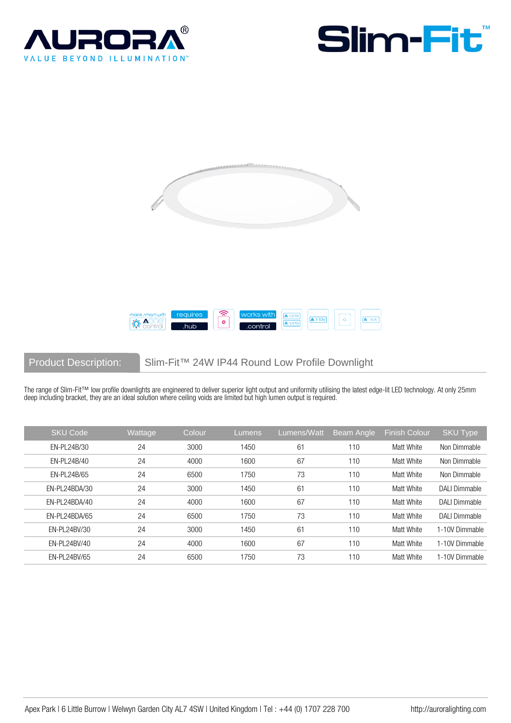







Product Description: Slim-Fit™ 24W IP44 Round Low Profile Downlight

The range of Slim-Fit™ low profile downlights are engineered to deliver superior light output and uniformity utilising the latest edge-lit LED technology. At only 25mm deep including bracket, they are an ideal solution where ceiling voids are limited but high lumen output is required.

| <b>SKU Code</b> | Wattage | Colour | Lumens | Lumens/Watt    | <b>Beam Angle</b> | <b>Finish Colour</b> | SKU Type             |
|-----------------|---------|--------|--------|----------------|-------------------|----------------------|----------------------|
| EN-PL24B/30     | 24      | 3000   | 1450   | 61             | 110               | Matt White           | Non Dimmable         |
| EN-PL24B/40     | 24      | 4000   | 1600   | 67             | 110               | Matt White           | Non Dimmable         |
| EN-PL24B/65     | 24      | 6500   | 1750   | 73             | 110               | Matt White           | Non Dimmable         |
| EN-PL24BDA/30   | 24      | 3000   | 1450   | 6 <sup>1</sup> | 110               | Matt White           | <b>DALI Dimmable</b> |
| EN-PL24BDA/40   | 24      | 4000   | 1600   | 67             | 110               | Matt White           | <b>DALI Dimmable</b> |
| EN-PL24BDA/65   | 24      | 6500   | 1750   | 73             | 110               | Matt White           | <b>DALI Dimmable</b> |
| EN-PL24BV/30    | 24      | 3000   | 1450   | 61             | 110               | Matt White           | 1-10V Dimmable       |
| EN-PL24BV/40    | 24      | 4000   | 1600   | 67             | 110               | Matt White           | 1-10V Dimmable       |
| EN-PL24BV/65    | 24      | 6500   | 1750   | 73             | 110               | Matt White           | 1-10V Dimmable       |